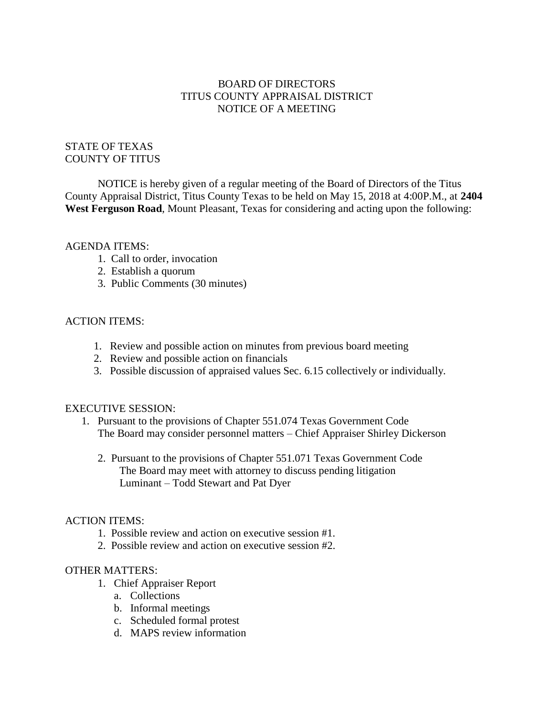## BOARD OF DIRECTORS TITUS COUNTY APPRAISAL DISTRICT NOTICE OF A MEETING

# STATE OF TEXAS COUNTY OF TITUS

NOTICE is hereby given of a regular meeting of the Board of Directors of the Titus County Appraisal District, Titus County Texas to be held on May 15, 2018 at 4:00P.M., at **2404 West Ferguson Road**, Mount Pleasant, Texas for considering and acting upon the following:

### AGENDA ITEMS:

- 1. Call to order, invocation
- 2. Establish a quorum
- 3. Public Comments (30 minutes)

### ACTION ITEMS:

- 1. Review and possible action on minutes from previous board meeting
- 2. Review and possible action on financials
- 3. Possible discussion of appraised values Sec. 6.15 collectively or individually.

### EXECUTIVE SESSION:

- 1. Pursuant to the provisions of Chapter 551.074 Texas Government Code The Board may consider personnel matters – Chief Appraiser Shirley Dickerson
	- 2. Pursuant to the provisions of Chapter 551.071 Texas Government Code The Board may meet with attorney to discuss pending litigation Luminant – Todd Stewart and Pat Dyer

### ACTION ITEMS:

- 1. Possible review and action on executive session #1.
- 2. Possible review and action on executive session #2.

### OTHER MATTERS:

- 1. Chief Appraiser Report
	- a. Collections
	- b. Informal meetings
	- c. Scheduled formal protest
	- d. MAPS review information